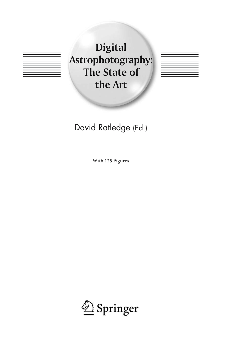# **Digital Astrophotography: The State of the Art**

|                                                                                                                                                                                                                               | - |
|-------------------------------------------------------------------------------------------------------------------------------------------------------------------------------------------------------------------------------|---|
| and the contract of the contract of the contract of the contract of the contract of the contract of the contract of                                                                                                           |   |
|                                                                                                                                                                                                                               |   |
|                                                                                                                                                                                                                               |   |
| and the control of the control of the control of the control of the control of the control of the control of the                                                                                                              |   |
|                                                                                                                                                                                                                               |   |
|                                                                                                                                                                                                                               |   |
| the control of the control of the control of the control of the control of the control of the control of the control of the control of the control of the control of the control of the control of the control of the control | _ |
|                                                                                                                                                                                                                               |   |
|                                                                                                                                                                                                                               |   |
|                                                                                                                                                                                                                               |   |

### David Ratledge (Ed.)

With 125 Figures

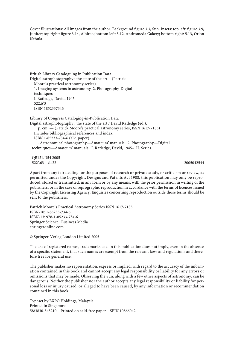Cover illustrations: All images from the author. Background figure 3.3, Sun. Insets: top left: figure 3.9, Jupiter; top right: figure 3.14, Albireo; bottom left: 5.12, Andromeda Galaxy; bottom right: 5.13, Orion Nebula.

British Library Cataloguing in Publication Data Digital astrophotography : the state of the art. - (Patrick Moore's practical astronomy series) 1. Imaging systems in astronomy 2. Photography-Digital techniques I. Ratledge, David, 1945– 522.6′3 ISBN 1852337346

Library of Congress Cataloging-in-Publication Data Digital astrophotography : the state of the art / David Ratledge (ed.). p. cm. — (Patrick Moore's practical astronomy series, ISSN 1617-7185) Includes bibliographical references and index. ISBN 1-85233-734-6 (alk. paper) 1. Astronomical photography—Amateurs' manuals. 2. Photography—Digital techniques—Amateurs' manuals. I. Ratledge, David, 1945– II. Series.

QB121.D54 2005 522′.63—dc22 2005042544

Apart from any fair dealing for the purposes of research or private study, or criticism or review, as permitted under the Copyright, Designs and Patents Act 1988, this publication may only be reproduced, stored or transmitted, in any form or by any means, with the prior permission in writing of the publishers, or in the case of reprographic reproduction in accordance with the terms of licences issued by the Copyright Licensing Agency. Enquiries concerning reproduction outside those terms should be sent to the publishers.

Patrick Moore's Practical Astronomy Series ISSN 1617-7185 ISBN-10: 1-85233-734-6 ISBN-13: 978-1-85233-734-6 Springer Science+Business Media springeronline.com

© Springer-Verlag London Limited 2005

The use of registered names, trademarks, etc. in this publication does not imply, even in the absence of a specific statement, that such names are exempt from the relevant laws and regulations and therefore free for general use.

The publisher makes no representation, express or implied, with regard to the accuracy of the information contained in this book and cannot accept any legal responsibility or liability for any errors or omissions that may be made. Observing the Sun, along with a few other aspects of astronomy, can be dangerous. Neither the publisher nor the author accepts any legal responsibility or liability for personal loss or injury caused, or alleged to have been caused, by any information or recommendation contained in this book.

Typeset by EXPO Holdings, Malaysia Printed in Singapore 58/3830-543210 Printed on acid-free paper SPIN 10866042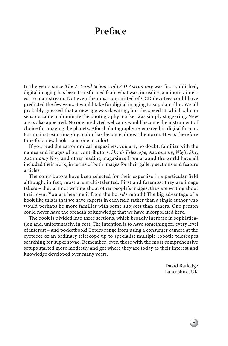#### **Preface**

In the years since *The Art and Science of CCD Astronomy* was first published, digital imaging has been transformed from what was, in reality, a minority interest to mainstream. Not even the most committed of CCD devotees could have predicted the few years it would take for digital imaging to supplant film. We all probably guessed that a new age was dawning, but the speed at which silicon sensors came to dominate the photography market was simply staggering. New areas also appeared. No one predicted webcams would become the instrument of choice for imaging the planets. Afocal photography re-emerged in digital format. For mainstream imaging, color has become almost the norm. It was therefore time for a new book – and one in color!

If you read the astronomical magazines, you are, no doubt, familiar with the names and images of our contributors. *Sky & Telescope*, *Astronomy*, *Night Sky*, *Astronomy Now* and other leading magazines from around the world have all included their work, in terms of both images for their gallery sections and feature articles.

The contributors have been selected for their expertise in a particular field although, in fact, most are multi-talented. First and foremost they are image takers – they are not writing about other people's images; they are writing about their own. You are hearing it from the horse's mouth! The big advantage of a book like this is that we have experts in each field rather than a single author who would perhaps be more familiar with some subjects than others. One person could never have the breadth of knowledge that we have incorporated here.

The book is divided into three sections, which broadly increase in sophistication and, unfortunately, in cost. The intention is to have something for every level of interest – and pocketbook! Topics range from using a consumer camera at the eyepiece of an ordinary telescope up to specialist multiple robotic telescopes searching for supernovae. Remember, even those with the most comprehensive setups started more modestly and got where they are today as their interest and knowledge developed over many years.

> David Ratledge Lancashire, UK

> > **v**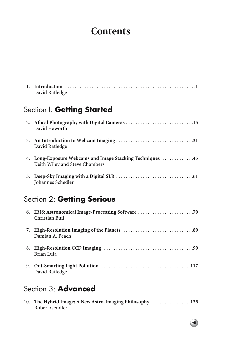## **Contents**

|    | David Ratledge                                                                               |
|----|----------------------------------------------------------------------------------------------|
|    | Section I: Getting Started                                                                   |
|    | 2. Afocal Photography with Digital Cameras 15<br>David Haworth                               |
| 3. | David Ratledge                                                                               |
|    | 4. Long-Exposure Webcams and Image Stacking Techniques  45<br>Keith Wiley and Steve Chambers |
| 5. | Johannes Schedler                                                                            |
|    | Section 2: Getting Serious                                                                   |
|    | 6. IRIS: Astronomical Image-Processing Software 79<br>Christian Buil                         |
| 7. | Damian A. Peach                                                                              |
| 8. | Brian Lula                                                                                   |
| 9. | David Ratledge                                                                               |

#### Section 3: **Advanced**

| 10. The Hybrid Image: A New Astro-Imaging Philosophy 135 |  |
|----------------------------------------------------------|--|
| Robert Gendler                                           |  |

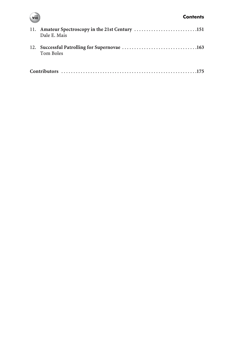

| Dale E. Mais |
|--------------|
| Tom Boles    |
|              |